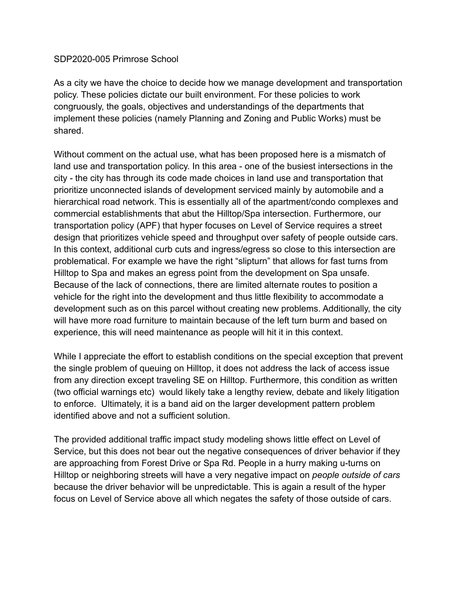## SDP2020-005 Primrose School

As a city we have the choice to decide how we manage development and transportation policy. These policies dictate our built environment. For these policies to work congruously, the goals, objectives and understandings of the departments that implement these policies (namely Planning and Zoning and Public Works) must be shared.

Without comment on the actual use, what has been proposed here is a mismatch of land use and transportation policy. In this area - one of the busiest intersections in the city - the city has through its code made choices in land use and transportation that prioritize unconnected islands of development serviced mainly by automobile and a hierarchical road network. This is essentially all of the apartment/condo complexes and commercial establishments that abut the Hilltop/Spa intersection. Furthermore, our transportation policy (APF) that hyper focuses on Level of Service requires a street design that prioritizes vehicle speed and throughput over safety of people outside cars. In this context, additional curb cuts and ingress/egress so close to this intersection are problematical. For example we have the right "slipturn" that allows for fast turns from Hilltop to Spa and makes an egress point from the development on Spa unsafe. Because of the lack of connections, there are limited alternate routes to position a vehicle for the right into the development and thus little flexibility to accommodate a development such as on this parcel without creating new problems. Additionally, the city will have more road furniture to maintain because of the left turn burm and based on experience, this will need maintenance as people will hit it in this context.

While I appreciate the effort to establish conditions on the special exception that prevent the single problem of queuing on Hilltop, it does not address the lack of access issue from any direction except traveling SE on Hilltop. Furthermore, this condition as written (two official warnings etc) would likely take a lengthy review, debate and likely litigation to enforce. Ultimately, it is a band aid on the larger development pattern problem identified above and not a sufficient solution.

The provided additional traffic impact study modeling shows little effect on Level of Service, but this does not bear out the negative consequences of driver behavior if they are approaching from Forest Drive or Spa Rd. People in a hurry making u-turns on Hilltop or neighboring streets will have a very negative impact on *people outside of cars* because the driver behavior will be unpredictable. This is again a result of the hyper focus on Level of Service above all which negates the safety of those outside of cars.